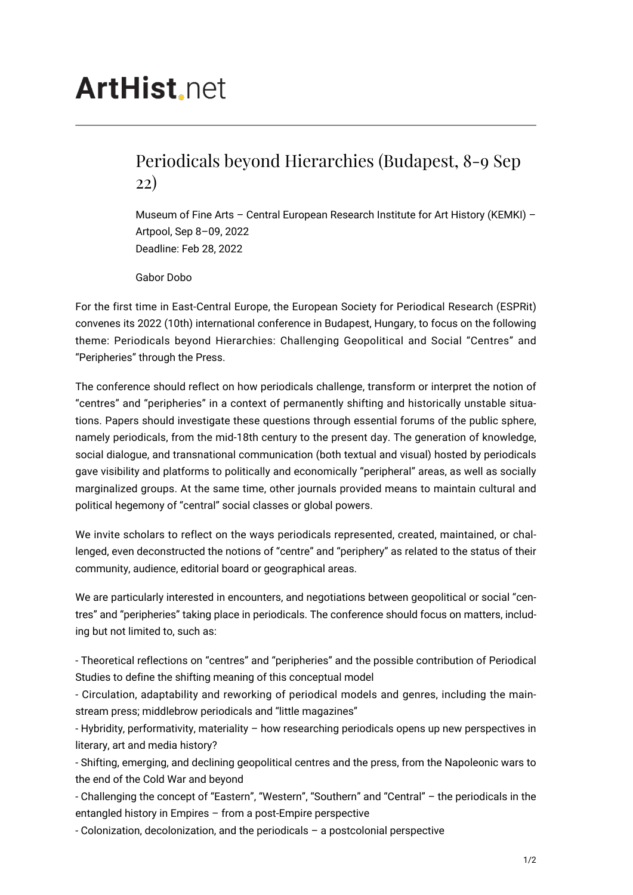## **ArtHist**, net

## Periodicals beyond Hierarchies (Budapest, 8-9 Sep 22)

Museum of Fine Arts – Central European Research Institute for Art History (KEMKI) – Artpool, Sep 8–09, 2022 Deadline: Feb 28, 2022

Gabor Dobo

For the first time in East-Central Europe, the European Society for Periodical Research (ESPRit) convenes its 2022 (10th) international conference in Budapest, Hungary, to focus on the following theme: Periodicals beyond Hierarchies: Challenging Geopolitical and Social "Centres" and "Peripheries" through the Press.

The conference should reflect on how periodicals challenge, transform or interpret the notion of "centres" and "peripheries" in a context of permanently shifting and historically unstable situations. Papers should investigate these questions through essential forums of the public sphere, namely periodicals, from the mid-18th century to the present day. The generation of knowledge, social dialogue, and transnational communication (both textual and visual) hosted by periodicals gave visibility and platforms to politically and economically "peripheral" areas, as well as socially marginalized groups. At the same time, other journals provided means to maintain cultural and political hegemony of "central" social classes or global powers.

We invite scholars to reflect on the ways periodicals represented, created, maintained, or challenged, even deconstructed the notions of "centre" and "periphery" as related to the status of their community, audience, editorial board or geographical areas.

We are particularly interested in encounters, and negotiations between geopolitical or social "centres" and "peripheries" taking place in periodicals. The conference should focus on matters, including but not limited to, such as:

- Theoretical reflections on "centres" and "peripheries" and the possible contribution of Periodical Studies to define the shifting meaning of this conceptual model

- Circulation, adaptability and reworking of periodical models and genres, including the mainstream press; middlebrow periodicals and "little magazines"

- Hybridity, performativity, materiality – how researching periodicals opens up new perspectives in literary, art and media history?

- Shifting, emerging, and declining geopolitical centres and the press, from the Napoleonic wars to the end of the Cold War and beyond

- Challenging the concept of "Eastern", "Western", "Southern" and "Central" – the periodicals in the entangled history in Empires – from a post-Empire perspective

- Colonization, decolonization, and the periodicals – a postcolonial perspective